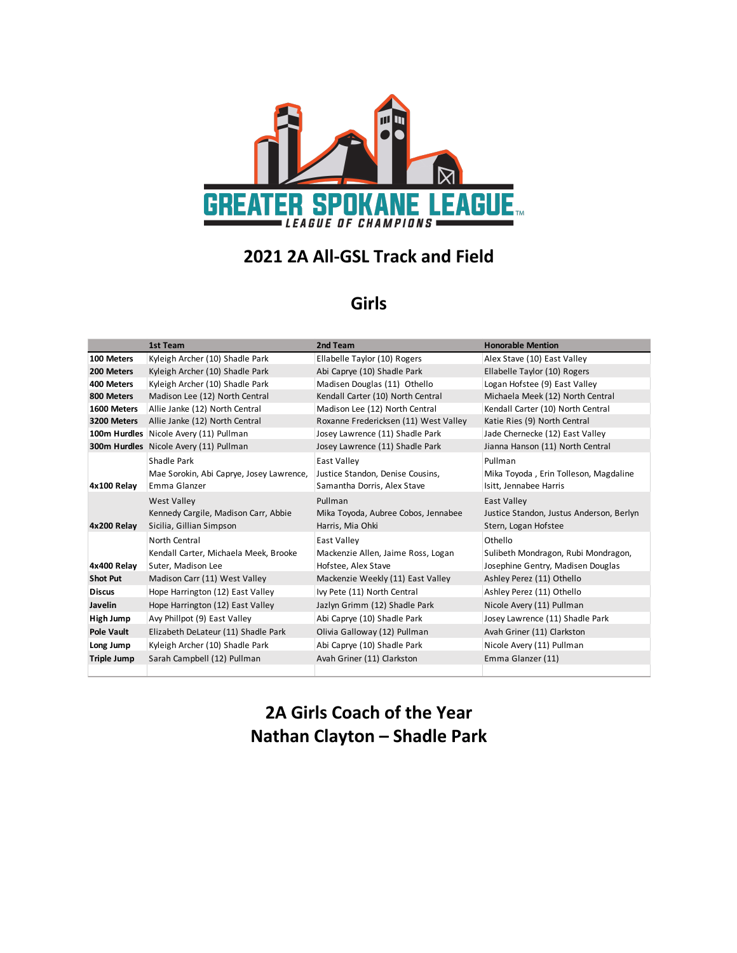

# **2021 2A All-GSL Track and Field**

#### **Girls**

|                    | <b>1st Team</b>                                                                        | 2nd Team                                                                       | <b>Honorable Mention</b>                                                               |
|--------------------|----------------------------------------------------------------------------------------|--------------------------------------------------------------------------------|----------------------------------------------------------------------------------------|
| 100 Meters         | Kyleigh Archer (10) Shadle Park                                                        | Ellabelle Taylor (10) Rogers                                                   | Alex Stave (10) East Valley                                                            |
| 200 Meters         | Kyleigh Archer (10) Shadle Park                                                        | Abi Caprye (10) Shadle Park                                                    | Ellabelle Taylor (10) Rogers                                                           |
| 400 Meters         | Kyleigh Archer (10) Shadle Park                                                        | Madisen Douglas (11) Othello                                                   | Logan Hofstee (9) East Valley                                                          |
| 800 Meters         | Madison Lee (12) North Central                                                         | Kendall Carter (10) North Central                                              | Michaela Meek (12) North Central                                                       |
| 1600 Meters        | Allie Janke (12) North Central                                                         | Madison Lee (12) North Central                                                 | Kendall Carter (10) North Central                                                      |
| 3200 Meters        | Allie Janke (12) North Central                                                         | Roxanne Fredericksen (11) West Valley                                          | Katie Ries (9) North Central                                                           |
|                    | 100m Hurdles Nicole Avery (11) Pullman                                                 | Josey Lawrence (11) Shadle Park                                                | Jade Chernecke (12) East Valley                                                        |
|                    | 300m Hurdles Nicole Avery (11) Pullman                                                 | Josey Lawrence (11) Shadle Park                                                | Jianna Hanson (11) North Central                                                       |
| 4x100 Relay        | Shadle Park<br>Mae Sorokin, Abi Caprye, Josey Lawrence,<br>Emma Glanzer                | East Valley<br>Justice Standon, Denise Cousins,<br>Samantha Dorris, Alex Stave | Pullman<br>Mika Toyoda, Erin Tolleson, Magdaline<br>Isitt, Jennabee Harris             |
| 4x200 Relay        | <b>West Valley</b><br>Kennedy Cargile, Madison Carr, Abbie<br>Sicilia, Gillian Simpson | Pullman<br>Mika Toyoda, Aubree Cobos, Jennabee<br>Harris, Mia Ohki             | <b>East Valley</b><br>Justice Standon, Justus Anderson, Berlyn<br>Stern, Logan Hofstee |
| 4x400 Relay        | North Central<br>Kendall Carter, Michaela Meek, Brooke<br>Suter, Madison Lee           | East Valley<br>Mackenzie Allen, Jaime Ross, Logan<br>Hofstee, Alex Stave       | Othello<br>Sulibeth Mondragon, Rubi Mondragon,<br>Josephine Gentry, Madisen Douglas    |
| <b>Shot Put</b>    | Madison Carr (11) West Valley                                                          | Mackenzie Weekly (11) East Valley                                              | Ashley Perez (11) Othello                                                              |
| <b>Discus</b>      | Hope Harrington (12) East Valley                                                       | Ivy Pete (11) North Central                                                    | Ashley Perez (11) Othello                                                              |
| Javelin            | Hope Harrington (12) East Valley                                                       | Jazlyn Grimm (12) Shadle Park                                                  | Nicole Avery (11) Pullman                                                              |
| High Jump          | Avy Phillpot (9) East Valley                                                           | Abi Caprye (10) Shadle Park                                                    | Josey Lawrence (11) Shadle Park                                                        |
| <b>Pole Vault</b>  | Elizabeth DeLateur (11) Shadle Park                                                    | Olivia Galloway (12) Pullman                                                   | Avah Griner (11) Clarkston                                                             |
| Long Jump          | Kyleigh Archer (10) Shadle Park                                                        | Abi Caprye (10) Shadle Park                                                    | Nicole Avery (11) Pullman                                                              |
| <b>Triple Jump</b> | Sarah Campbell (12) Pullman                                                            | Avah Griner (11) Clarkston                                                     | Emma Glanzer (11)                                                                      |
|                    |                                                                                        |                                                                                |                                                                                        |

## **2A Girls Coach of the Year Nathan Clayton – Shadle Park**